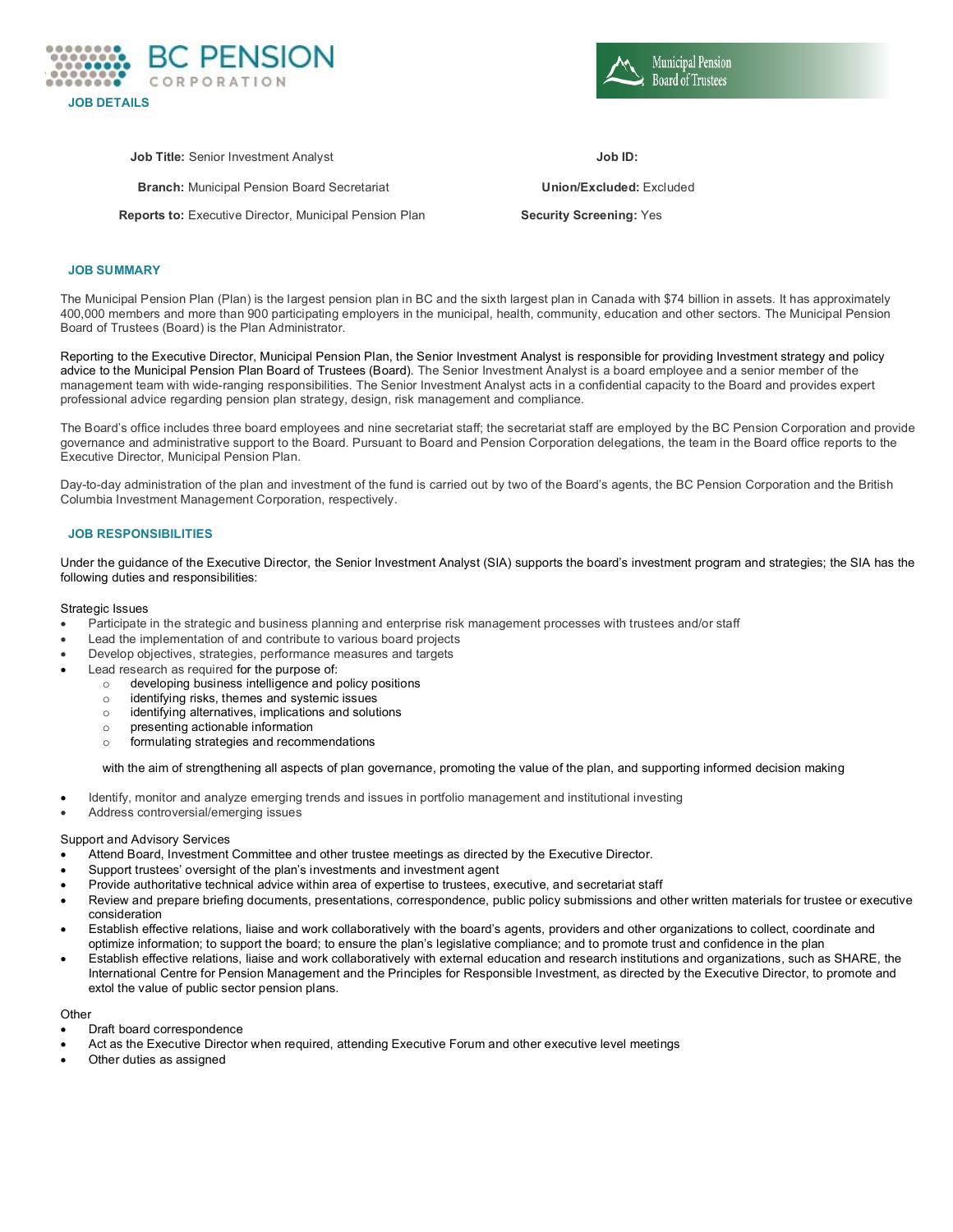

**Municipal Pension Board of Trustees** 

**Job Title:** Senior Investment Analyst **Job ID:**

**Branch:** Municipal Pension Board Secretariat **Union/Excluded:** Excluded

**Reports to:** Executive Director, Municipal Pension Plan **Security Screening:** Yes

# **JOB SUMMARY**

The Municipal Pension Plan (Plan) is the largest pension plan in BC and the sixth largest plan in Canada with \$74 billion in assets. It has approximately 400,000 members and more than 900 participating employers in the municipal, health, community, education and other sectors. The Municipal Pension Board of Trustees (Board) is the Plan Administrator.

Reporting to the Executive Director, Municipal Pension Plan, the Senior Investment Analyst is responsible for providing Investment strategy and policy advice to the Municipal Pension Plan Board of Trustees (Board). The Senior Investment Analyst is a board employee and a senior member of the management team with wide-ranging responsibilities. The Senior Investment Analyst acts in a confidential capacity to the Board and provides expert professional advice regarding pension plan strategy, design, risk management and compliance.

The Board's office includes three board employees and nine secretariat staff; the secretariat staff are employed by the BC Pension Corporation and provide governance and administrative support to the Board. Pursuant to Board and Pension Corporation delegations, the team in the Board office reports to the Executive Director, Municipal Pension Plan.

Day-to-day administration of the plan and investment of the fund is carried out by two of the Board's agents, the BC Pension Corporation and the British Columbia Investment Management Corporation, respectively.

## **JOB RESPONSIBILITIES**

Under the guidance of the Executive Director, the Senior Investment Analyst (SIA) supports the board's investment program and strategies; the SIA has the following duties and responsibilities:

#### Strategic Issues

- Participate in the strategic and business planning and enterprise risk management processes with trustees and/or staff
- Lead the implementation of and contribute to various board projects
- Develop objectives, strategies, performance measures and targets
- Lead research as required for the purpose of:
	- $\circ$  developing business intelligence and policy positions  $\circ$  identifying risks, themes and systemic issues
	- $\circ$  identifying risks, themes and systemic issues  $\circ$  identifying alternatives, implications and solut
	- identifying alternatives, implications and solutions
	- $\circ$  presenting actionable information<br> $\circ$  formulating strategies and recome
	- formulating strategies and recommendations

with the aim of strengthening all aspects of plan governance, promoting the value of the plan, and supporting informed decision making

- Identify, monitor and analyze emerging trends and issues in portfolio management and institutional investing
- Address controversial/emerging issues

#### Support and Advisory Services

- Attend Board, Investment Committee and other trustee meetings as directed by the Executive Director.
- Support trustees' oversight of the plan's investments and investment agent
- Provide authoritative technical advice within area of expertise to trustees, executive, and secretariat staff
- Review and prepare briefing documents, presentations, correspondence, public policy submissions and other written materials for trustee or executive consideration
- Establish effective relations, liaise and work collaboratively with the board's agents, providers and other organizations to collect, coordinate and optimize information; to support the board; to ensure the plan's legislative compliance; and to promote trust and confidence in the plan
- Establish effective relations, liaise and work collaboratively with external education and research institutions and organizations, such as SHARE, the International Centre for Pension Management and the Principles for Responsible Investment, as directed by the Executive Director, to promote and extol the value of public sector pension plans.

**Other** 

- Draft board correspondence
- Act as the Executive Director when required, attending Executive Forum and other executive level meetings
- Other duties as assigned